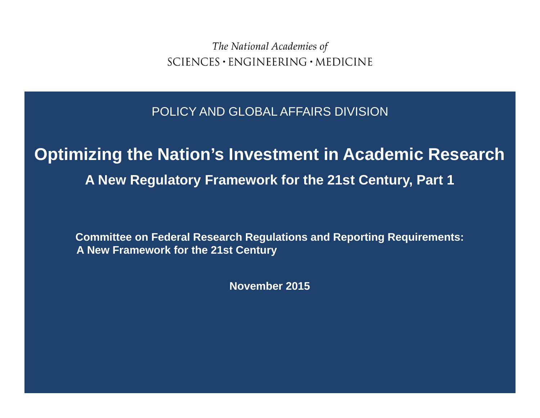The National Academies of  $SCIENCES \cdot ENGINEERING \cdot MEDICINE$ 

POLICY AND GLOBAL AFFAIRS DIVISION

## **Optimizing the Nation's Investment in Academic Research A New Regulatory Framework for the 21st Century, Part 1**

**Committee on Federal Research Regulations and Reporting Requirements: A New Framework for the 21st Century**

**November 2015**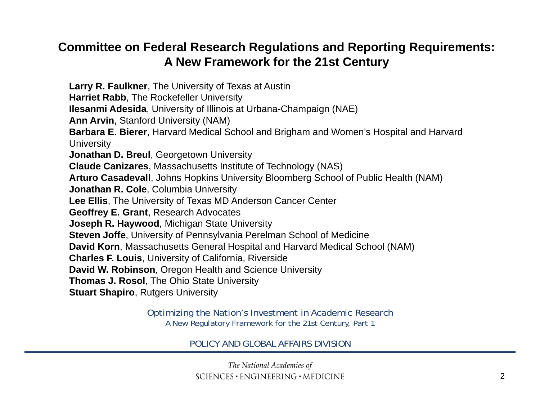#### **Committee on Federal Research Regulations and Reporting Requirements: A New Framework for the 21st Century**

**Larry R. Faulkner**, The University of Texas at Austin **Harriet Rabb**, The Rockefeller University **Ilesanmi Adesida**, University of Illinois at Urbana-Champaign (NAE) **Ann Arvin**, Stanford University (NAM) **Barbara E. Bierer**, Harvard Medical School and Brigham and Women's Hospital and Harvard **University Jonathan D. Breul**, Georgetown University **Claude Canizares**, Massachusetts Institute of Technology (NAS) **Arturo Casadevall**, Johns Hopkins University Bloomberg School of Public Health (NAM) **Jonathan R. Cole**, Columbia University **Lee Ellis**, The University of Texas MD Anderson Cancer Center **Geoffrey E. Grant**, Research Advocates **Joseph R. Haywood**, Michigan State University **Steven Joffe**, University of Pennsylvania Perelman School of Medicine **David Korn**, Massachusetts General Hospital and Harvard Medical School (NAM) **Charles F. Louis**, University of California, Riverside **David W. Robinson**, Oregon Health and Science University **Thomas J. Rosol**, The Ohio State University **Stuart Shapiro**, Rutgers University

> Optimizing the Nation's Investment in Academic Research A New Regulatory Framework for the 21st Century, Part 1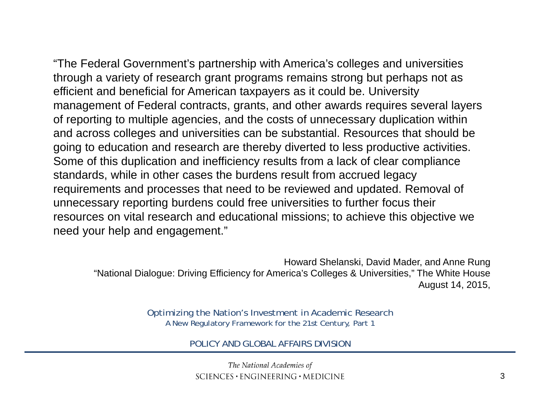"The Federal Government's partnership with America's colleges and universities through a variety of research grant programs remains strong but perhaps not as efficient and beneficial for American taxpayers as it could be. University management of Federal contracts, grants, and other awards requires several layers of reporting to multiple agencies, and the costs of unnecessary duplication within and across colleges and universities can be substantial. Resources that should be going to education and research are thereby diverted to less productive activities. Some of this duplication and inefficiency results from a lack of clear compliance standards, while in other cases the burdens result from accrued legacy requirements and processes that need to be reviewed and updated. Removal of unnecessary reporting burdens could free universities to further focus their resources on vital research and educational missions; to achieve this objective we need your help and engagement."

Howard Shelanski, David Mader, and Anne Rung "National Dialogue: Driving Efficiency for America's Colleges & Universities," The White House August 14, 2015,

> Optimizing the Nation's Investment in Academic Research A New Regulatory Framework for the 21st Century, Part 1

> > POLICY AND GLOBAL AFFAIRS DIVISION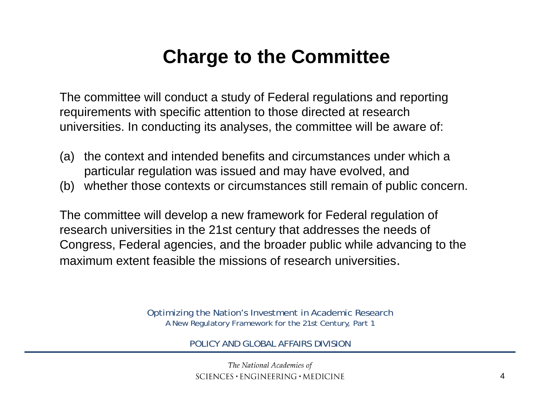# **Charge to the Committee**

The committee will conduct a study of Federal regulations and reporting requirements with specific attention to those directed at research universities. In conducting its analyses, the committee will be aware of:

- (a) the context and intended benefits and circumstances under which a particular regulation was issued and may have evolved, and
- (b) whether those contexts or circumstances still remain of public concern.

The committee will develop a new framework for Federal regulation of research universities in the 21st century that addresses the needs of Congress, Federal agencies, and the broader public while advancing to the maximum extent feasible the missions of research universities.

> Optimizing the Nation's Investment in Academic Research A New Regulatory Framework for the 21st Century, Part 1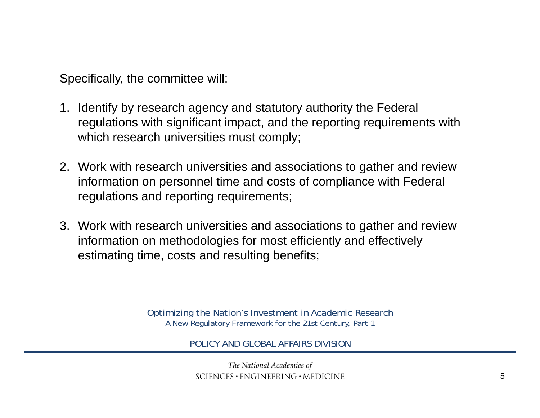Specifically, the committee will:

- 1. Identify by research agency and statutory authority the Federal regulations with significant impact, and the reporting requirements with which research universities must comply;
- 2. Work with research universities and associations to gather and review information on personnel time and costs of compliance with Federal regulations and reporting requirements;
- 3. Work with research universities and associations to gather and review information on methodologies for most efficiently and effectively estimating time, costs and resulting benefits;

Optimizing the Nation's Investment in Academic Research A New Regulatory Framework for the 21st Century, Part 1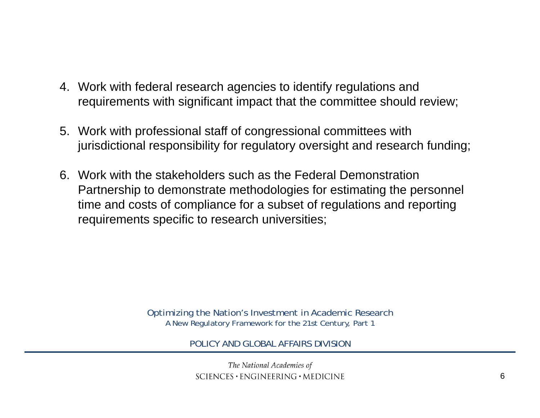- 4. Work with federal research agencies to identify regulations and requirements with significant impact that the committee should review;
- 5. Work with professional staff of congressional committees with jurisdictional responsibility for regulatory oversight and research funding;
- 6. Work with the stakeholders such as the Federal Demonstration Partnership to demonstrate methodologies for estimating the personnel time and costs of compliance for a subset of regulations and reporting requirements specific to research universities;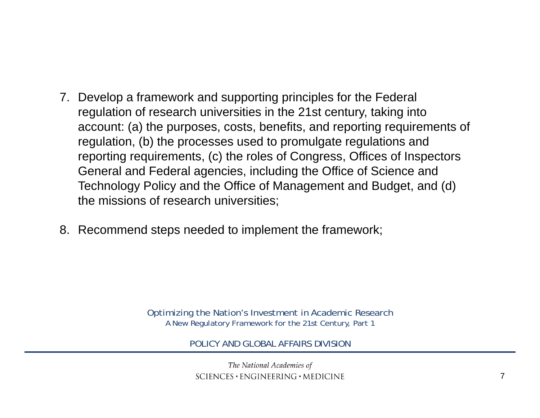- 7. Develop a framework and supporting principles for the Federal regulation of research universities in the 21st century, taking into account: (a) the purposes, costs, benefits, and reporting requirements of regulation, (b) the processes used to promulgate regulations and reporting requirements, (c) the roles of Congress, Offices of Inspectors General and Federal agencies, including the Office of Science and Technology Policy and the Office of Management and Budget, and (d) the missions of research universities;
- 8. Recommend steps needed to implement the framework;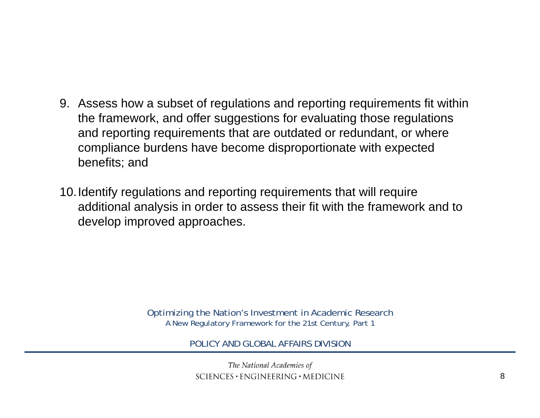- 9. Assess how a subset of regulations and reporting requirements fit within the framework, and offer suggestions for evaluating those regulations and reporting requirements that are outdated or redundant, or where compliance burdens have become disproportionate with expected benefits; and
- 10.Identify regulations and reporting requirements that will require additional analysis in order to assess their fit with the framework and to develop improved approaches.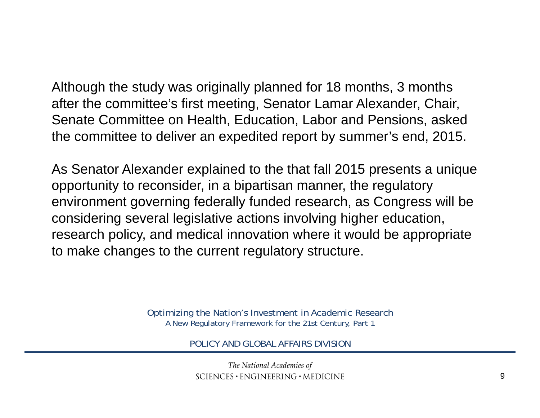Although the study was originally planned for 18 months, 3 months after the committee's first meeting, Senator Lamar Alexander, Chair, Senate Committee on Health, Education, Labor and Pensions, asked the committee to deliver an expedited report by summer's end, 2015.

As Senator Alexander explained to the that fall 2015 presents a unique opportunity to reconsider, in a bipartisan manner, the regulatory environment governing federally funded research, as Congress will be considering several legislative actions involving higher education, research policy, and medical innovation where it would be appropriate to make changes to the current regulatory structure.

> Optimizing the Nation's Investment in Academic Research A New Regulatory Framework for the 21st Century, Part 1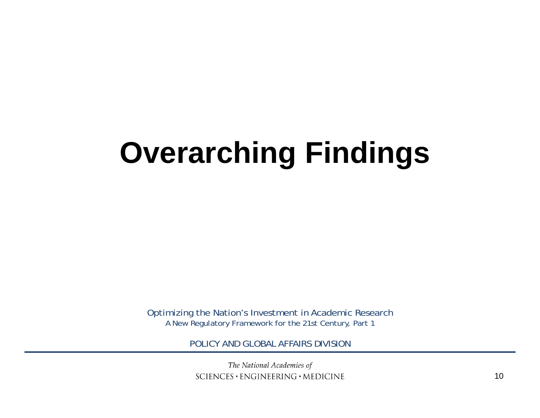# **Overarching Findings**

Optimizing the Nation's Investment in Academic Research A New Regulatory Framework for the 21st Century, Part 1

POLICY AND GLOBAL AFFAIRS DIVISION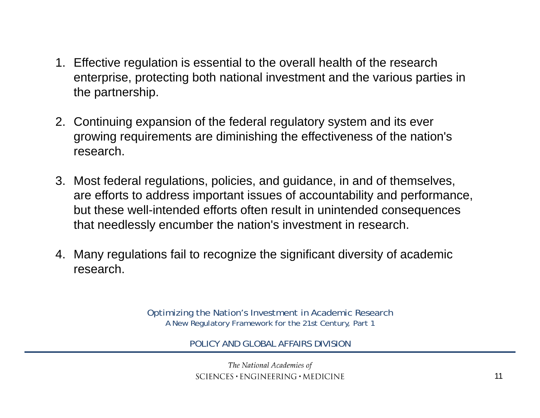- 1. Effective regulation is essential to the overall health of the research enterprise, protecting both national investment and the various parties in the partnership.
- 2. Continuing expansion of the federal regulatory system and its ever growing requirements are diminishing the effectiveness of the nation's research.
- 3. Most federal regulations, policies, and guidance, in and of themselves, are efforts to address important issues of accountability and performance, but these well-intended efforts often result in unintended consequences that needlessly encumber the nation's investment in research.
- 4. Many regulations fail to recognize the significant diversity of academic research.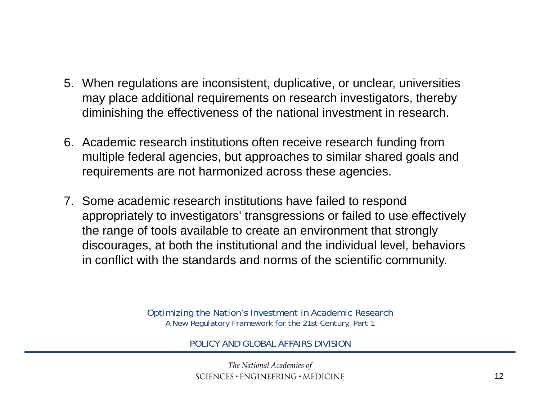- 5. When regulations are inconsistent, duplicative, or unclear, universities may place additional requirements on research investigators, thereby diminishing the effectiveness of the national investment in research.
- 6. Academic research institutions often receive research funding from multiple federal agencies, but approaches to similar shared goals and requirements are not harmonized across these agencies.
- 7. Some academic research institutions have failed to respond appropriately to investigators' transgressions or failed to use effectively the range of tools available to create an environment that strongly discourages, at both the institutional and the individual level, behaviors in conflict with the standards and norms of the scientific community.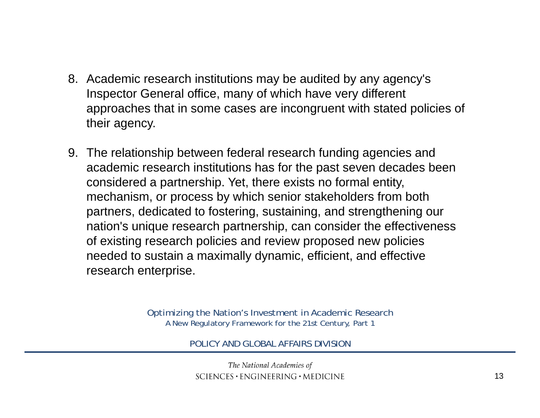- 8. Academic research institutions may be audited by any agency's Inspector General office, many of which have very different approaches that in some cases are incongruent with stated policies of their agency.
- 9. The relationship between federal research funding agencies and academic research institutions has for the past seven decades been considered a partnership. Yet, there exists no formal entity, mechanism, or process by which senior stakeholders from both partners, dedicated to fostering, sustaining, and strengthening our nation's unique research partnership, can consider the effectiveness of existing research policies and review proposed new policies needed to sustain a maximally dynamic, efficient, and effective research enterprise.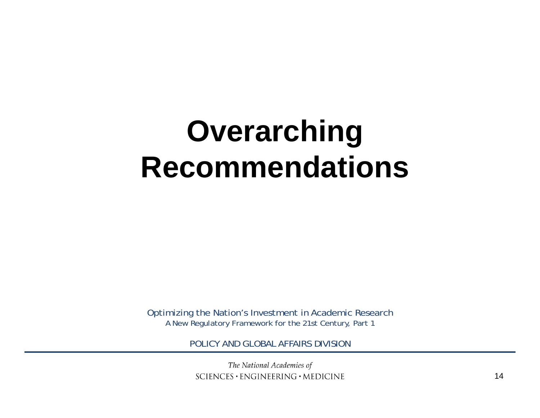# **Overarching Recommendations**

Optimizing the Nation's Investment in Academic Research A New Regulatory Framework for the 21st Century, Part 1

POLICY AND GLOBAL AFFAIRS DIVISION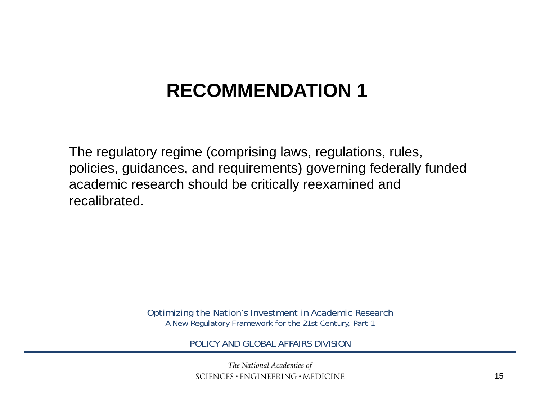# **RECOMMENDATION 1**

The regulatory regime (comprising laws, regulations, rules, policies, guidances, and requirements) governing federally funded academic research should be critically reexamined and recalibrated.

> Optimizing the Nation's Investment in Academic Research A New Regulatory Framework for the 21st Century, Part 1

> > POLICY AND GLOBAL AFFAIRS DIVISION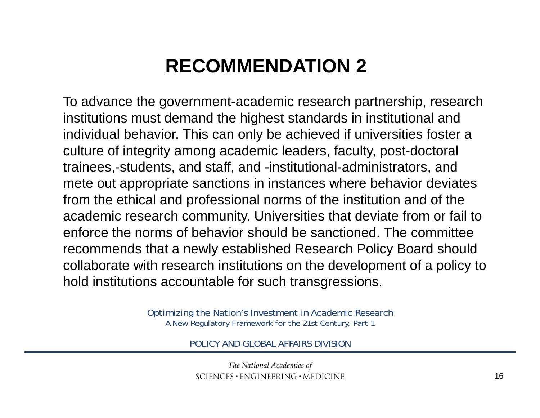# **RECOMMENDATION 2**

To advance the government-academic research partnership, research institutions must demand the highest standards in institutional and individual behavior. This can only be achieved if universities foster a culture of integrity among academic leaders, faculty, post-doctoral trainees,-students, and staff, and -institutional-administrators, and mete out appropriate sanctions in instances where behavior deviates from the ethical and professional norms of the institution and of the academic research community. Universities that deviate from or fail to enforce the norms of behavior should be sanctioned. The committee recommends that a newly established Research Policy Board should collaborate with research institutions on the development of a policy to hold institutions accountable for such transgressions.

> Optimizing the Nation's Investment in Academic Research A New Regulatory Framework for the 21st Century, Part 1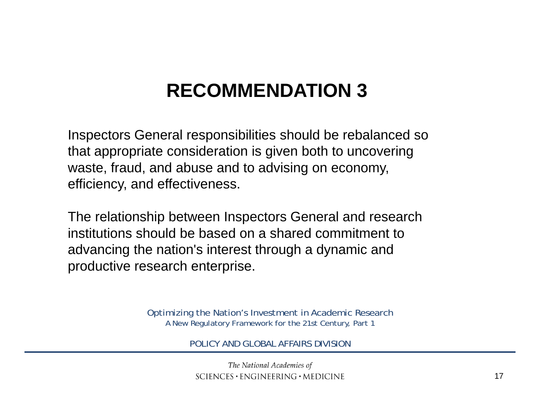# **RECOMMENDATION 3**

Inspectors General responsibilities should be rebalanced so that appropriate consideration is given both to uncovering waste, fraud, and abuse and to advising on economy, efficiency, and effectiveness.

The relationship between Inspectors General and research institutions should be based on a shared commitment toadvancing the nation's interest through a dynamic and productive research enterprise.

> Optimizing the Nation's Investment in Academic Research A New Regulatory Framework for the 21st Century, Part 1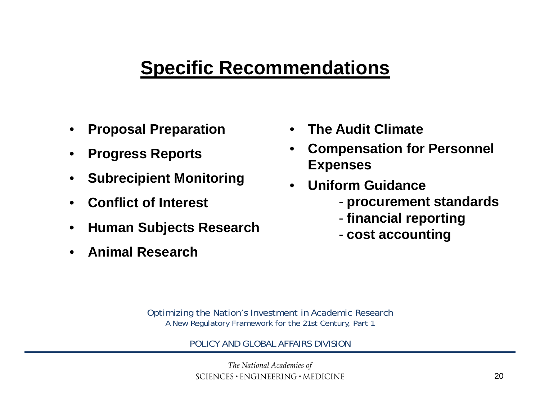## **Specific Recommendations**

- •**Proposal Preparation**
- •**Progress Reports**
- •**Subrecipient Monitoring**
- •**Conflict of Interest**
- •**Human Subjects Research**
- •**Animal Research**
- •**The Audit Climate**
- • **Compensation for Personnel Expenses**
- • **Uniform Guidance**
	- **procurement standards**
	- **financial reporting**
	- **cost accounting**

Optimizing the Nation's Investment in Academic Research A New Regulatory Framework for the 21st Century, Part 1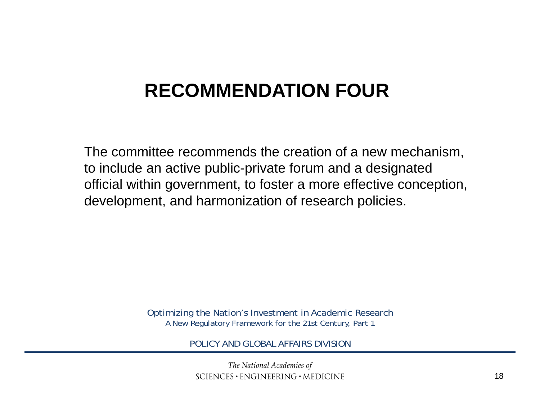# **RECOMMENDATION FOUR**

The committee recommends the creation of a new mechanism, to include an active public-private forum and a designated official within government, to foster a more effective conception, development, and harmonization of research policies.

> Optimizing the Nation's Investment in Academic Research A New Regulatory Framework for the 21st Century, Part 1

> > POLICY AND GLOBAL AFFAIRS DIVISION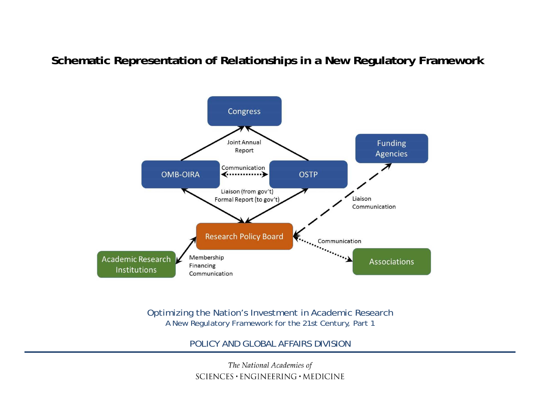#### **Schematic Representation of Relationships in a New Regulatory Framework**



Optimizing the Nation's Investment in Academic Research A New Regulatory Framework for the 21st Century, Part 1

POLICY AND GLOBAL AFFAIRS DIVISION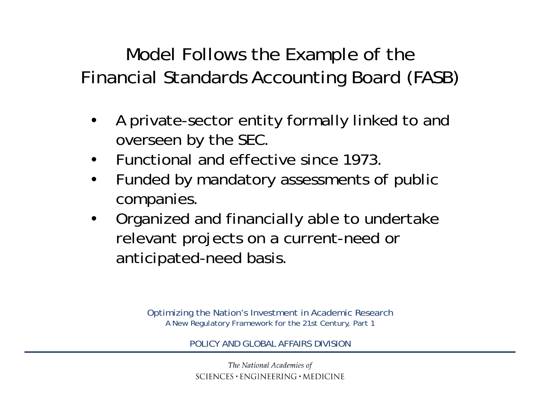Model Follows the Example of the Financial Standards Accounting Board (FASB)

- • A private-sector entity formally linked to and overseen by the SEC.
- $\bullet$ • Functional and effective since 1973.
- • Funded by mandatory assessments of public companies.
- • Organized and financially able to undertake relevant projects on a current-need or anticipated-need basis.

Optimizing the Nation's Investment in Academic Research A New Regulatory Framework for the 21st Century, Part 1

POLICY AND GLOBAL AFFAIRS DIVISION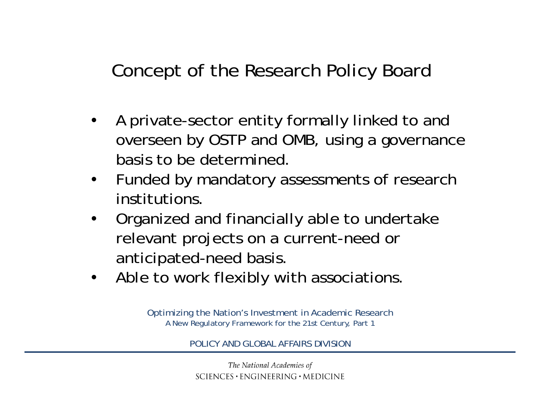Concept of the Research Policy Board

- • A private-sector entity formally linked to and overseen by OSTP and OMB, using a governance basis to be determined.
- $\bullet$  Funded by mandatory assessments of research institutions.
- • Organized and financially able to undertake relevant projects on a current-need or anticipated-need basis.
- •Able to work flexibly with associations.

Optimizing the Nation's Investment in Academic Research A New Regulatory Framework for the 21st Century, Part 1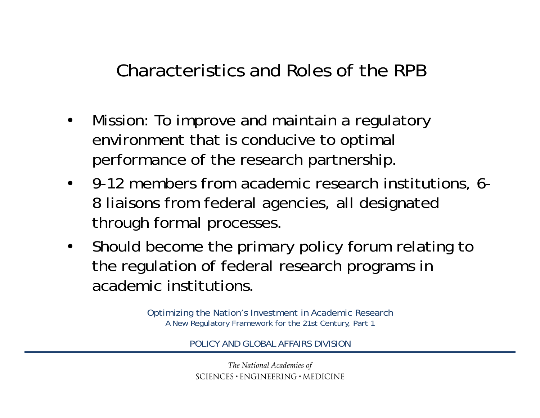Characteristics and Roles of the RPB

- • Mission: To improve and maintain a regulatory environment that is conducive to optimal performance of the research partnership.
- 9-12 members from academic research institutions, 6- 8 liaisons from federal agencies, all designated through formal processes.
- $\bullet$  Should become the primary policy forum relating to the regulation of federal research programs in academic institutions.

Optimizing the Nation's Investment in Academic Research A New Regulatory Framework for the 21st Century, Part 1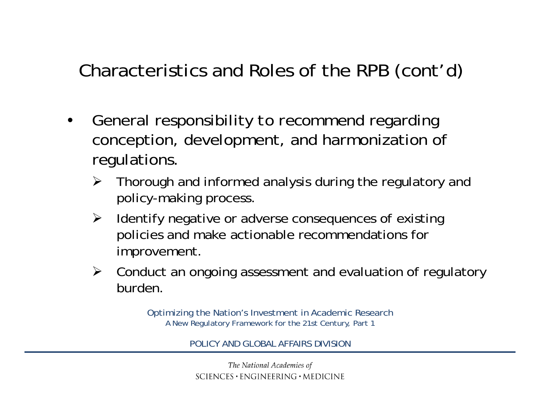Characteristics and Roles of the RPB (cont'd)

- • General responsibility *to recommend* regarding conception, development, and harmonization of regulations.
	- $\blacktriangleright$  Thorough and informed analysis during the regulatory and policy-making process.
	- $\blacktriangleright$  Identify negative or adverse consequences of existing policies and make actionable recommendations for improvement.
	- $\triangleright$  Conduct an ongoing assessment and evaluation of regulatory burden.

Optimizing the Nation's Investment in Academic Research A New Regulatory Framework for the 21st Century, Part 1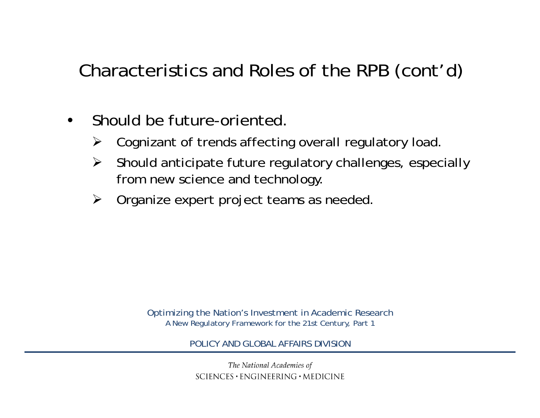Characteristics and Roles of the RPB (cont'd)

- • Should be future-oriented.
	- $\sum_{i=1}^{n}$ Cognizant of trends affecting overall regulatory load.
	- $\blacktriangleright$  Should anticipate future regulatory challenges, especially from new science and technology.
	- $\sum_{i=1}^{n}$ Organize expert project teams as needed.

Optimizing the Nation's Investment in Academic Research A New Regulatory Framework for the 21st Century, Part 1

POLICY AND GLOBAL AFFAIRS DIVISION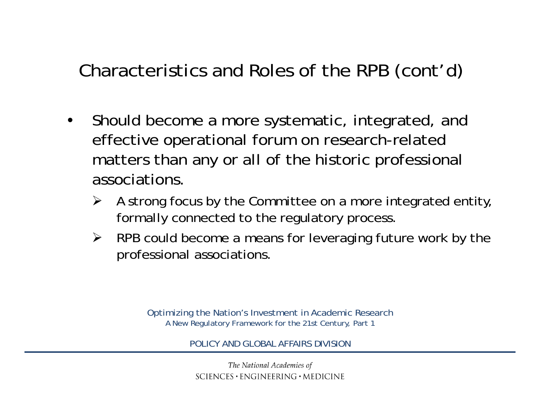Characteristics and Roles of the RPB (cont'd)

- • Should become a more systematic, integrated, and effective operational forum on research-related matters than any or all of the historic professional associations.
	- ➤ A strong focus by the Committee on a more integrated entity, formally connected to the regulatory process.
	- $\triangleright$  RPB could become a means for leveraging future work by the professional associations.

Optimizing the Nation's Investment in Academic Research A New Regulatory Framework for the 21st Century, Part 1

POLICY AND GLOBAL AFFAIRS DIVISION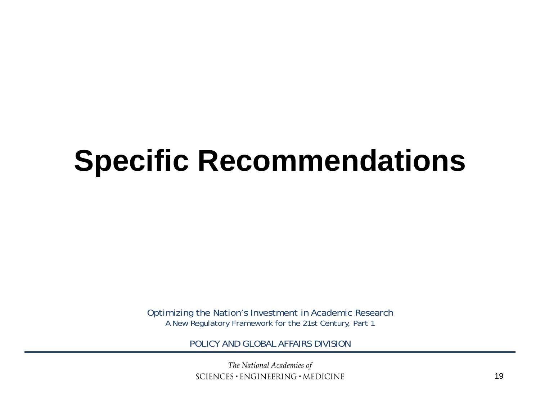# **Specific Recommendations**

Optimizing the Nation's Investment in Academic Research A New Regulatory Framework for the 21st Century, Part 1

POLICY AND GLOBAL AFFAIRS DIVISION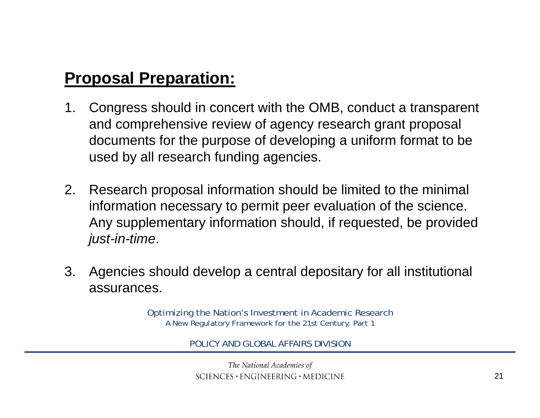## **Proposal Preparation:**

- 1. Congress should in concert with the OMB, conduct a transparent and comprehensive review of agency research grant proposal documents for the purpose of developing a uniform format to be used by all research funding agencies.
- 2. Research proposal information should be limited to the minimal information necessary to permit peer evaluation of the science. Any supplementary information should, if requested, be provided *just-in-time*.
- 3. Agencies should develop a central depositary for all institutional assurances.

Optimizing the Nation's Investment in Academic Research A New Regulatory Framework for the 21st Century, Part 1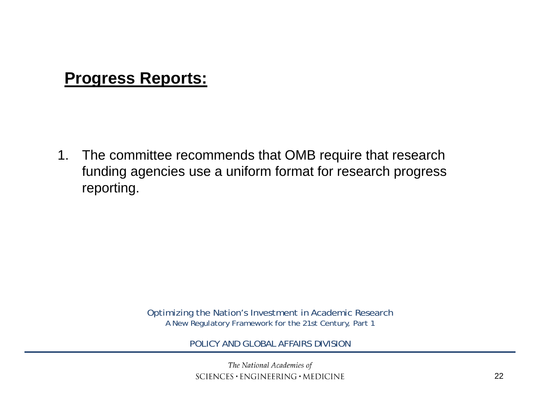### **Progress Reports:**

1. The committee recommends that OMB require that research funding agencies use a uniform format for research progress reporting.

> Optimizing the Nation's Investment in Academic Research A New Regulatory Framework for the 21st Century, Part 1

> > POLICY AND GLOBAL AFFAIRS DIVISION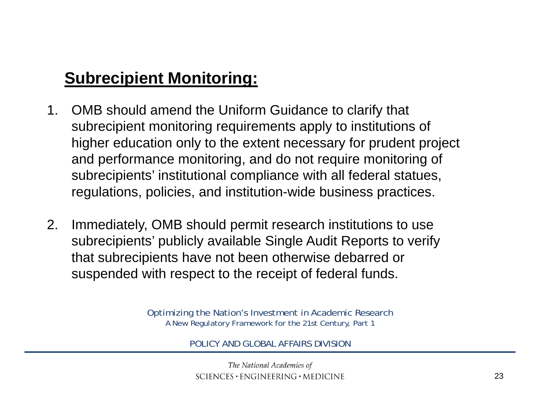## **Subrecipient Monitoring:**

- 1. OMB should amend the Uniform Guidance to clarify that subrecipient monitoring requirements apply to institutions of higher education only to the extent necessary for prudent project and performance monitoring, and do not require monitoring of subrecipients' institutional compliance with all federal statues, regulations, policies, and institution-wide business practices.
- 2. Immediately, OMB should permit research institutions to use subrecipients' publicly available Single Audit Reports to verify that subrecipients have not been otherwise debarred or suspended with respect to the receipt of federal funds.

Optimizing the Nation's Investment in Academic Research A New Regulatory Framework for the 21st Century, Part 1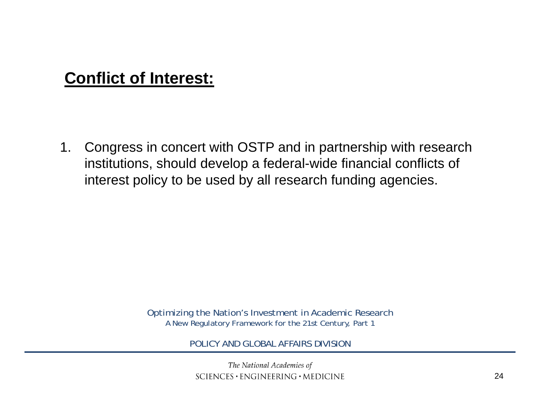## **Conflict of Interest:**

1. Congress in concert with OSTP and in partnership with research institutions, should develop a federal-wide financial conflicts of interest policy to be used by all research funding agencies.

> Optimizing the Nation's Investment in Academic Research A New Regulatory Framework for the 21st Century, Part 1

> > POLICY AND GLOBAL AFFAIRS DIVISION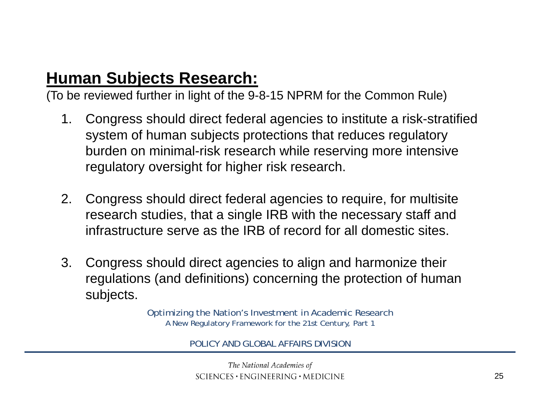## **Human Subjects Research:**

(To be reviewed further in light of the 9-8-15 NPRM for the Common Rule)

- 1. Congress should direct federal agencies to institute a risk-stratified system of human subjects protections that reduces regulatory burden on minimal-risk research while reserving more intensive regulatory oversight for higher risk research.
- 2. Congress should direct federal agencies to require, for multisite research studies, that a single IRB with the necessary staff and infrastructure serve as the IRB of record for all domestic sites.
- 3. Congress should direct agencies to align and harmonize their regulations (and definitions) concerning the protection of human subjects.

Optimizing the Nation's Investment in Academic Research A New Regulatory Framework for the 21st Century, Part 1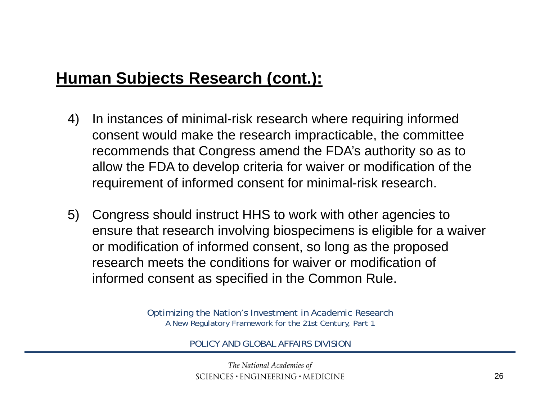## **Human Subjects Research (cont.):**

- 4) In instances of minimal-risk research where requiring informed consent would make the research impracticable, the committee recommends that Congress amend the FDA's authority so as to allow the FDA to develop criteria for waiver or modification of the requirement of informed consent for minimal-risk research.
- 5) Congress should instruct HHS to work with other agencies to ensure that research involving biospecimens is eligible for a waiver or modification of informed consent, so long as the proposed research meets the conditions for waiver or modification of informed consent as specified in the Common Rule.

Optimizing the Nation's Investment in Academic Research A New Regulatory Framework for the 21st Century, Part 1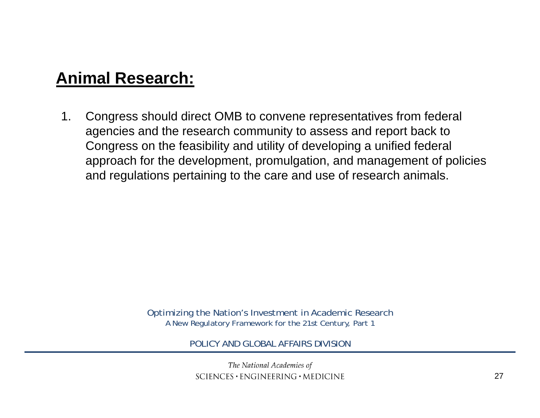### **Animal Research:**

1. Congress should direct OMB to convene representatives from federal agencies and the research community to assess and report back to Congress on the feasibility and utility of developing a unified federal approach for the development, promulgation, and management of policies and regulations pertaining to the care and use of research animals.

> Optimizing the Nation's Investment in Academic Research A New Regulatory Framework for the 21st Century, Part 1

> > POLICY AND GLOBAL AFFAIRS DIVISION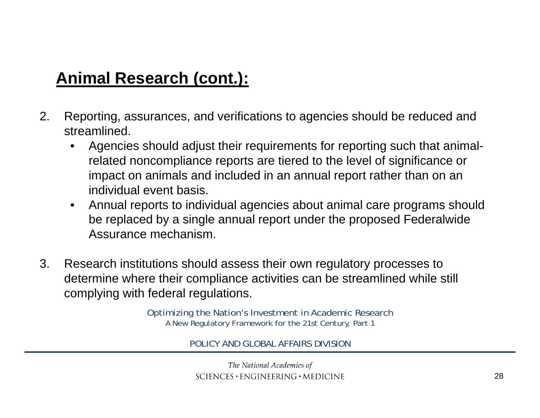## **Animal Research (cont.):**

- 2. Reporting, assurances, and verifications to agencies should be reduced and streamlined.
	- • Agencies should adjust their requirements for reporting such that animalrelated noncompliance reports are tiered to the level of significance or impact on animals and included in an annual report rather than on an individual event basis.
	- $\bullet$  Annual reports to individual agencies about animal care programs should be replaced by a single annual report under the proposed Federalwide Assurance mechanism.
- 3. Research institutions should assess their own regulatory processes to determine where their compliance activities can be streamlined while still complying with federal regulations.

Optimizing the Nation's Investment in Academic Research A New Regulatory Framework for the 21st Century, Part 1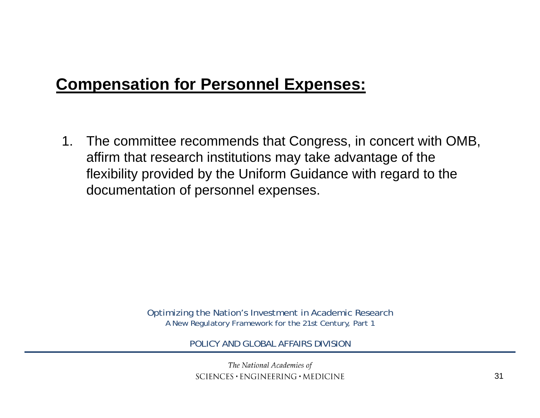## **Compensation for Personnel Expenses:**

1. The committee recommends that Congress, in concert with OMB, affirm that research institutions may take advantage of the flexibility provided by the Uniform Guidance with regard to the documentation of personnel expenses.

> Optimizing the Nation's Investment in Academic Research A New Regulatory Framework for the 21st Century, Part 1

> > POLICY AND GLOBAL AFFAIRS DIVISION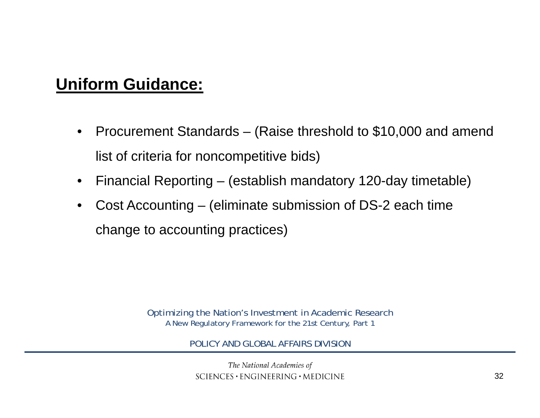## **Uniform Guidance:**

- • Procurement Standards – (Raise threshold to \$10,000 and amend list of criteria for noncompetitive bids)
- •Financial Reporting – (establish mandatory 120-day timetable)
- $\bullet$  Cost Accounting – (eliminate submission of DS-2 each time change to accounting practices)

Optimizing the Nation's Investment in Academic Research A New Regulatory Framework for the 21st Century, Part 1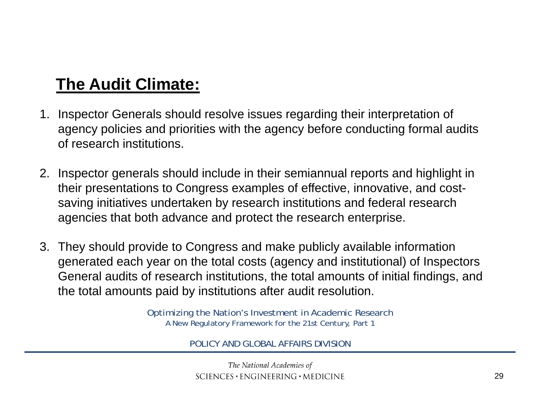## **The Audit Climate:**

- 1. Inspector Generals should resolve issues regarding their interpretation of agency policies and priorities with the agency before conducting formal audits of research institutions.
- 2. Inspector generals should include in their semiannual reports and highlight in their presentations to Congress examples of effective, innovative, and costsaving initiatives undertaken by research institutions and federal research agencies that both advance and protect the research enterprise.
- 3. They should provide to Congress and make publicly available information generated each year on the total costs (agency and institutional) of Inspectors General audits of research institutions, the total amounts of initial findings, and the total amounts paid by institutions after audit resolution.

Optimizing the Nation's Investment in Academic Research A New Regulatory Framework for the 21st Century, Part 1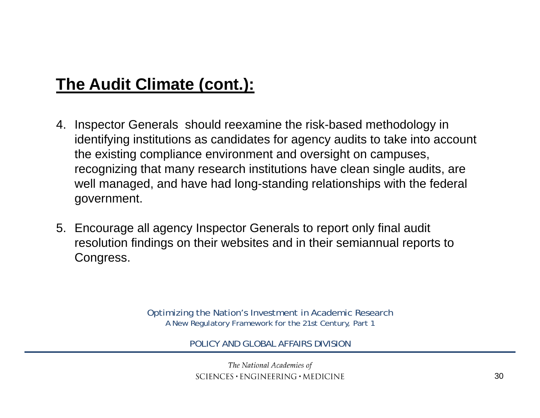## **The Audit Climate (cont.):**

- 4. Inspector Generals should reexamine the risk-based methodology in identifying institutions as candidates for agency audits to take into account the existing compliance environment and oversight on campuses, recognizing that many research institutions have clean single audits, are well managed, and have had long-standing relationships with the federal government.
- 5. Encourage all agency Inspector Generals to report only final audit resolution findings on their websites and in their semiannual reports to Congress.

Optimizing the Nation's Investment in Academic Research A New Regulatory Framework for the 21st Century, Part 1